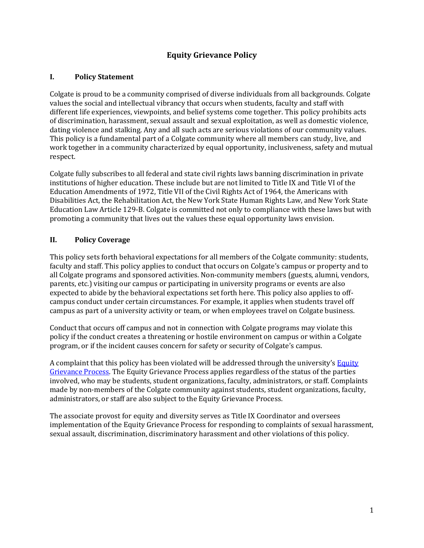# **Equity Grievance Policy**

## **I. Policy Statement**

Colgate is proud to be a community comprised of diverse individuals from all backgrounds. Colgate values the social and intellectual vibrancy that occurs when students, faculty and staff with different life experiences, viewpoints, and belief systems come together. This policy prohibits acts of discrimination, harassment, sexual assault and sexual exploitation, as well as domestic violence, dating violence and stalking. Any and all such acts are serious violations of our community values. This policy is a fundamental part of a Colgate community where all members can study, live, and work together in a community characterized by equal opportunity, inclusiveness, safety and mutual respect.

Colgate fully subscribes to all federal and state civil rights laws banning discrimination in private institutions of higher education. These include but are not limited to Title IX and Title VI of the Education Amendments of 1972, Title VII of the Civil Rights Act of 1964, the Americans with Disabilities Act, the Rehabilitation Act, the New York State Human Rights Law, and New York State Education Law Article 129-B. Colgate is committed not only to compliance with these laws but with promoting a community that lives out the values these equal opportunity laws envision.

## **II. Policy Coverage**

This policy sets forth behavioral expectations for all members of the Colgate community: students, faculty and staff. This policy applies to conduct that occurs on Colgate's campus or property and to all Colgate programs and sponsored activities. Non-community members (guests, alumni, vendors, parents, etc.) visiting our campus or participating in university programs or events are also expected to abide by the behavioral expectations set forth here. This policy also applies to offcampus conduct under certain circumstances. For example, it applies when students travel off campus as part of a university activity or team, or when employees travel on Colgate business.

Conduct that occurs off campus and not in connection with Colgate programs may violate this policy if the conduct creates a threatening or hostile environment on campus or within a Colgate program, or if the incident causes concern for safety or security of Colgate's campus.

A complaint that this policy has been violated will be addressed through the university's Equity Grievance Process. The Equity Grievance Process applies regardless of the status of the parties involved, who may be students, student organizations, faculty, administrators, or staff. Complaints made by non-members of the Colgate community against students, student organizations, faculty, administrators, or staff are also subject to the Equity Grievance Process.

The associate provost for equity and diversity serves as Title IX Coordinator and oversees implementation of the Equity Grievance Process for responding to complaints of sexual harassment, sexual assault, discrimination, discriminatory harassment and other violations of this policy.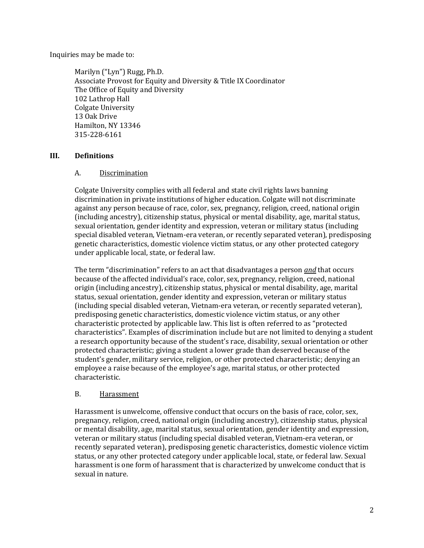Inquiries may be made to:

Marilyn ("Lyn") Rugg, Ph.D. Associate Provost for Equity and Diversity & Title IX Coordinator The Office of Equity and Diversity 102 Lathrop Hall Colgate University 13 Oak Drive Hamilton, NY 13346 315-228-6161

## **III. Definitions**

## A. Discrimination

Colgate University complies with all federal and state civil rights laws banning discrimination in private institutions of higher education. Colgate will not discriminate against any person because of race, color, sex, pregnancy, religion, creed, national origin (including ancestry), citizenship status, physical or mental disability, age, marital status, sexual orientation, gender identity and expression, veteran or military status (including special disabled veteran, Vietnam-era veteran, or recently separated veteran), predisposing genetic characteristics, domestic violence victim status, or any other protected category under applicable local, state, or federal law.

The term "discrimination" refers to an act that disadvantages a person *and* that occurs because of the affected individual's race, color, sex, pregnancy, religion, creed, national origin (including ancestry), citizenship status, physical or mental disability, age, marital status, sexual orientation, gender identity and expression, veteran or military status (including special disabled veteran, Vietnam-era veteran, or recently separated veteran), predisposing genetic characteristics, domestic violence victim status, or any other characteristic protected by applicable law. This list is often referred to as "protected characteristics". Examples of discrimination include but are not limited to denying a student a research opportunity because of the student's race, disability, sexual orientation or other protected characteristic; giving a student a lower grade than deserved because of the student's gender, military service, religion, or other protected characteristic; denying an employee a raise because of the employee's age, marital status, or other protected characteristic. 

## B. Harassment

Harassment is unwelcome, offensive conduct that occurs on the basis of race, color, sex, pregnancy, religion, creed, national origin (including ancestry), citizenship status, physical or mental disability, age, marital status, sexual orientation, gender identity and expression, veteran or military status (including special disabled veteran, Vietnam-era veteran, or recently separated veteran), predisposing genetic characteristics, domestic violence victim status, or any other protected category under applicable local, state, or federal law. Sexual harassment is one form of harassment that is characterized by unwelcome conduct that is sexual in nature.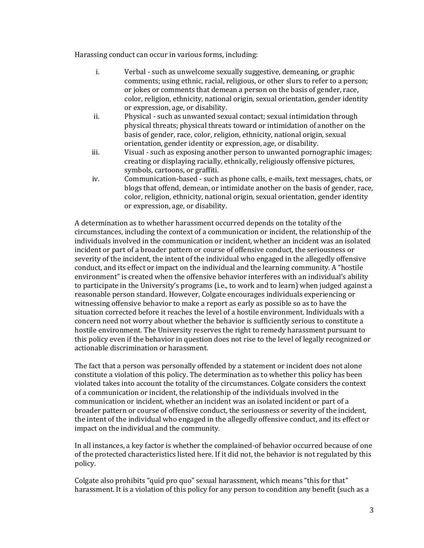Harassing conduct can occur in various forms, including:

- i. Verbal such as unwelcome sexually suggestive, demeaning, or graphic comments; using ethnic, racial, religious, or other slurs to refer to a person; or jokes or comments that demean a person on the basis of gender, race, color, religion, ethnicity, national origin, sexual orientation, gender identity or expression, age, or disability.
- ii. Physical such as unwanted sexual contact; sexual intimidation through physical threats; physical threats toward or intimidation of another on the basis of gender, race, color, religion, ethnicity, national origin, sexual orientation, gender identity or expression, age, or disability.
- iii. Visual such as exposing another person to unwanted pornographic images; creating or displaying racially, ethnically, religiously offensive pictures, symbols, cartoons, or graffiti.
- iv. Communication-based such as phone calls, e-mails, text messages, chats, or blogs that offend, demean, or intimidate another on the basis of gender, race, color, religion, ethnicity, national origin, sexual orientation, gender identity or expression, age, or disability.

A determination as to whether harassment occurred depends on the totality of the circumstances, including the context of a communication or incident, the relationship of the individuals involved in the communication or incident, whether an incident was an isolated incident or part of a broader pattern or course of offensive conduct, the seriousness or severity of the incident, the intent of the individual who engaged in the allegedly offensive conduct, and its effect or impact on the individual and the learning community. A "hostile environment" is created when the offensive behavior interferes with an individual's ability to participate in the University's programs (i.e., to work and to learn) when judged against a reasonable person standard. However, Colgate encourages individuals experiencing or witnessing offensive behavior to make a report as early as possible so as to have the situation corrected before it reaches the level of a hostile environment. Individuals with a concern need not worry about whether the behavior is sufficiently serious to constitute a hostile environment. The University reserves the right to remedy harassment pursuant to this policy even if the behavior in question does not rise to the level of legally recognized or actionable discrimination or harassment.

The fact that a person was personally offended by a statement or incident does not alone constitute a violation of this policy. The determination as to whether this policy has been violated takes into account the totality of the circumstances. Colgate considers the context of a communication or incident, the relationship of the individuals involved in the communication or incident, whether an incident was an isolated incident or part of a broader pattern or course of offensive conduct, the seriousness or severity of the incident, the intent of the individual who engaged in the allegedly offensive conduct, and its effect or impact on the individual and the community.

In all instances, a key factor is whether the complained-of behavior occurred because of one of the protected characteristics listed here. If it did not, the behavior is not regulated by this policy.

Colgate also prohibits "quid pro quo" sexual harassment, which means "this for that" harassment. It is a violation of this policy for any person to condition any benefit (such as a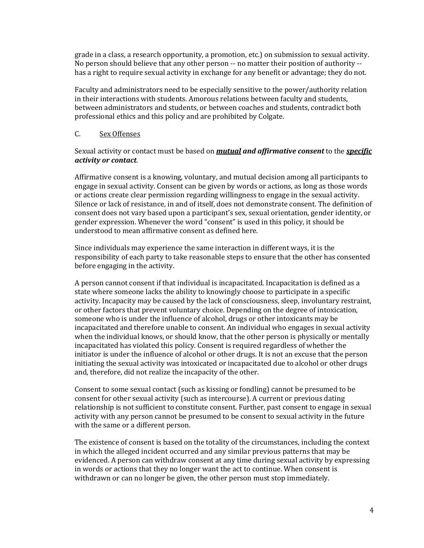grade in a class, a research opportunity, a promotion, etc.) on submission to sexual activity. No person should believe that any other person -- no matter their position of authority -has a right to require sexual activity in exchange for any benefit or advantage; they do not.

Faculty and administrators need to be especially sensitive to the power/authority relation in their interactions with students. Amorous relations between faculty and students, between administrators and students, or between coaches and students, contradict both professional ethics and this policy and are prohibited by Colgate.

#### C. Sex Offenses

### Sexual activity or contact must be based on **mutual and affirmative consent** to the **specific** *activity or contact*.

Affirmative consent is a knowing, voluntary, and mutual decision among all participants to engage in sexual activity. Consent can be given by words or actions, as long as those words or actions create clear permission regarding willingness to engage in the sexual activity. Silence or lack of resistance, in and of itself, does not demonstrate consent. The definition of consent does not vary based upon a participant's sex, sexual orientation, gender identity, or gender expression. Whenever the word "consent" is used in this policy, it should be understood to mean affirmative consent as defined here.

Since individuals may experience the same interaction in different ways, it is the responsibility of each party to take reasonable steps to ensure that the other has consented before engaging in the activity.

A person cannot consent if that individual is incapacitated. Incapacitation is defined as a state where someone lacks the ability to knowingly choose to participate in a specific activity. Incapacity may be caused by the lack of consciousness, sleep, involuntary restraint, or other factors that prevent voluntary choice. Depending on the degree of intoxication, someone who is under the influence of alcohol, drugs or other intoxicants may be incapacitated and therefore unable to consent. An individual who engages in sexual activity when the individual knows, or should know, that the other person is physically or mentally incapacitated has violated this policy. Consent is required regardless of whether the initiator is under the influence of alcohol or other drugs. It is not an excuse that the person initiating the sexual activity was intoxicated or incapacitated due to alcohol or other drugs and, therefore, did not realize the incapacity of the other.

Consent to some sexual contact (such as kissing or fondling) cannot be presumed to be consent for other sexual activity (such as intercourse). A current or previous dating relationship is not sufficient to constitute consent. Further, past consent to engage in sexual activity with any person cannot be presumed to be consent to sexual activity in the future with the same or a different person.

The existence of consent is based on the totality of the circumstances, including the context in which the alleged incident occurred and any similar previous patterns that may be evidenced. A person can withdraw consent at any time during sexual activity by expressing in words or actions that they no longer want the act to continue. When consent is withdrawn or can no longer be given, the other person must stop immediately.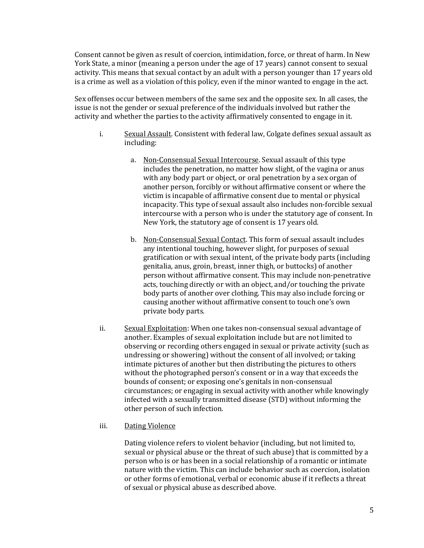Consent cannot be given as result of coercion, intimidation, force, or threat of harm. In New York State, a minor (meaning a person under the age of 17 years) cannot consent to sexual activity. This means that sexual contact by an adult with a person younger than 17 years old is a crime as well as a violation of this policy, even if the minor wanted to engage in the act.

Sex offenses occur between members of the same sex and the opposite sex. In all cases, the issue is not the gender or sexual preference of the individuals involved but rather the activity and whether the parties to the activity affirmatively consented to engage in it.

- i. Sexual Assault. Consistent with federal law, Colgate defines sexual assault as including:
	- a. Non-Consensual Sexual Intercourse. Sexual assault of this type includes the penetration, no matter how slight, of the vagina or anus with any body part or object, or oral penetration by a sex organ of another person, forcibly or without affirmative consent or where the victim is incapable of affirmative consent due to mental or physical incapacity. This type of sexual assault also includes non-forcible sexual intercourse with a person who is under the statutory age of consent. In New York, the statutory age of consent is 17 years old.
	- b. Non-Consensual Sexual Contact. This form of sexual assault includes any intentional touching, however slight, for purposes of sexual gratification or with sexual intent, of the private body parts (including genitalia, anus, groin, breast, inner thigh, or buttocks) of another person without affirmative consent. This may include non-penetrative acts, touching directly or with an object, and/or touching the private body parts of another over clothing. This may also include forcing or causing another without affirmative consent to touch one's own private body parts.
- ii. Sexual Exploitation: When one takes non-consensual sexual advantage of another. Examples of sexual exploitation include but are not limited to observing or recording others engaged in sexual or private activity (such as undressing or showering) without the consent of all involved; or taking intimate pictures of another but then distributing the pictures to others without the photographed person's consent or in a way that exceeds the bounds of consent; or exposing one's genitals in non-consensual circumstances; or engaging in sexual activity with another while knowingly infected with a sexually transmitted disease (STD) without informing the other person of such infection.

## iii. Dating Violence

Dating violence refers to violent behavior (including, but not limited to, sexual or physical abuse or the threat of such abuse) that is committed by a person who is or has been in a social relationship of a romantic or intimate nature with the victim. This can include behavior such as coercion, isolation or other forms of emotional, verbal or economic abuse if it reflects a threat of sexual or physical abuse as described above.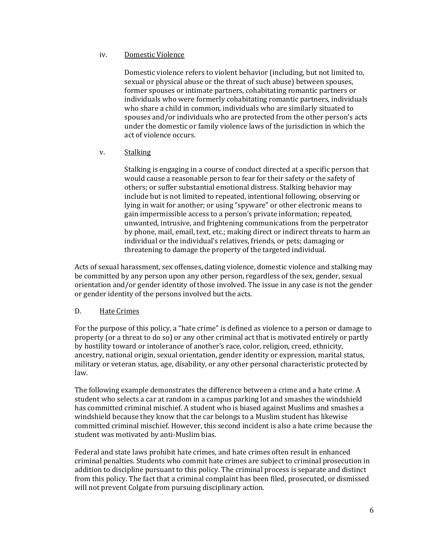#### iv. Domestic Violence

Domestic violence refers to violent behavior (including, but not limited to, sexual or physical abuse or the threat of such abuse) between spouses, former spouses or intimate partners, cohabitating romantic partners or individuals who were formerly cohabitating romantic partners, individuals who share a child in common, individuals who are similarly situated to spouses and/or individuals who are protected from the other person's acts under the domestic or family violence laws of the jurisdiction in which the act of violence occurs.

v. Stalking

Stalking is engaging in a course of conduct directed at a specific person that would cause a reasonable person to fear for their safety or the safety of others; or suffer substantial emotional distress. Stalking behavior may include but is not limited to repeated, intentional following, observing or lying in wait for another; or using "spyware" or other electronic means to gain impermissible access to a person's private information; repeated, unwanted, intrusive, and frightening communications from the perpetrator by phone, mail, email, text, etc.; making direct or indirect threats to harm an individual or the individual's relatives, friends, or pets; damaging or threatening to damage the property of the targeted individual.

Acts of sexual harassment, sex offenses, dating violence, domestic violence and stalking may be committed by any person upon any other person, regardless of the sex, gender, sexual orientation and/or gender identity of those involved. The issue in any case is not the gender or gender identity of the persons involved but the acts.

## D. Hate Crimes

For the purpose of this policy, a "hate crime" is defined as violence to a person or damage to property (or a threat to do so) or any other criminal act that is motivated entirely or partly by hostility toward or intolerance of another's race, color, religion, creed, ethnicity, ancestry, national origin, sexual orientation, gender identity or expression, marital status, military or veteran status, age, disability, or any other personal characteristic protected by law.

The following example demonstrates the difference between a crime and a hate crime. A student who selects a car at random in a campus parking lot and smashes the windshield has committed criminal mischief. A student who is biased against Muslims and smashes a windshield because they know that the car belongs to a Muslim student has likewise committed criminal mischief. However, this second incident is also a hate crime because the student was motivated by anti-Muslim bias.

Federal and state laws prohibit hate crimes, and hate crimes often result in enhanced criminal penalties. Students who commit hate crimes are subject to criminal prosecution in addition to discipline pursuant to this policy. The criminal process is separate and distinct from this policy. The fact that a criminal complaint has been filed, prosecuted, or dismissed will not prevent Colgate from pursuing disciplinary action.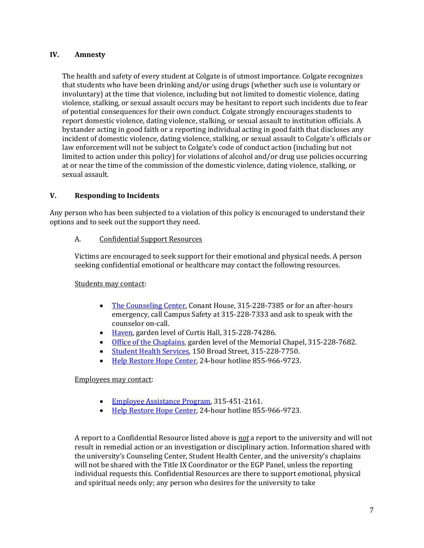### **IV. Amnesty**

The health and safety of every student at Colgate is of utmost importance. Colgate recognizes that students who have been drinking and/or using drugs (whether such use is voluntary or involuntary) at the time that violence, including but not limited to domestic violence, dating violence, stalking, or sexual assault occurs may be hesitant to report such incidents due to fear of potential consequences for their own conduct. Colgate strongly encourages students to report domestic violence, dating violence, stalking, or sexual assault to institution officials. A bystander acting in good faith or a reporting individual acting in good faith that discloses any incident of domestic violence, dating violence, stalking, or sexual assault to Colgate's officials or law enforcement will not be subject to Colgate's code of conduct action (including but not limited to action under this policy) for violations of alcohol and/or drug use policies occurring at or near the time of the commission of the domestic violence, dating violence, stalking, or sexual assault.

## **V.** Responding to Incidents

Any person who has been subjected to a violation of this policy is encouraged to understand their options and to seek out the support they need.

#### A. Confidential Support Resources

Victims are encouraged to seek support for their emotional and physical needs. A person seeking confidential emotional or healthcare may contact the following resources.

## Students may contact:

- The Counseling Center, Conant House, 315-228-7385 or for an after-hours emergency, call Campus Safety at 315-228-7333 and ask to speak with the counselor on-call.
- Haven, garden level of Curtis Hall, 315-228-74286.
- Office of the Chaplains, garden level of the Memorial Chapel, 315-228-7682.
- Student Health Services, 150 Broad Street, 315-228-7750.
- Help Restore Hope Center, 24-hour hotline 855-966-9723.

#### Employees may contact:

- Employee Assistance Program, 315-451-2161.
- Help Restore Hope Center, 24-hour hotline 855-966-9723.

A report to a Confidential Resource listed above is *not* a report to the university and will not result in remedial action or an investigation or disciplinary action. Information shared with the university's Counseling Center, Student Health Center, and the university's chaplains will not be shared with the Title IX Coordinator or the EGP Panel, unless the reporting individual requests this. Confidential Resources are there to support emotional, physical and spiritual needs only; any person who desires for the university to take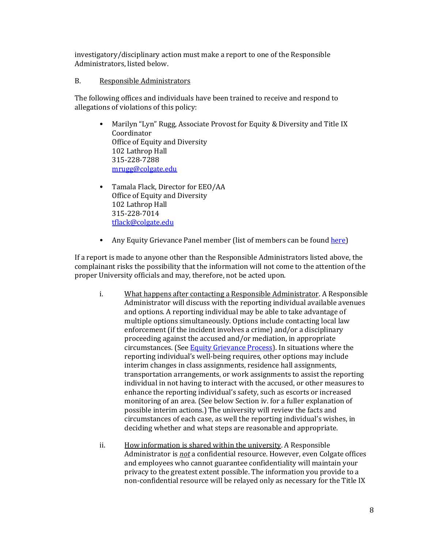investigatory/disciplinary action must make a report to one of the Responsible Administrators, listed below.

B. Responsible Administrators

The following offices and individuals have been trained to receive and respond to allegations of violations of this policy:

- Marilyn "Lyn" Rugg, Associate Provost for Equity & Diversity and Title IX Coordinator Office of Equity and Diversity 102 Lathrop Hall 315-228-7288 mrugg@colgate.edu
- Tamala Flack, Director for EEO/AA Office of Equity and Diversity 102 Lathrop Hall 315-228-7014 tflack@colgate.edu
- Any Equity Grievance Panel member (list of members can be found here)

If a report is made to anyone other than the Responsible Administrators listed above, the complainant risks the possibility that the information will not come to the attention of the proper University officials and may, therefore, not be acted upon.

- i. What happens after contacting a Responsible Administrator. A Responsible Administrator will discuss with the reporting individual available avenues and options. A reporting individual may be able to take advantage of multiple options simultaneously. Options include contacting local law enforcement (if the incident involves a crime) and/or a disciplinary proceeding against the accused and/or mediation, in appropriate circumstances. (See Equity Grievance Process). In situations where the reporting individual's well-being requires, other options may include interim changes in class assignments, residence hall assignments, transportation arrangements, or work assignments to assist the reporting individual in not having to interact with the accused, or other measures to enhance the reporting individual's safety, such as escorts or increased monitoring of an area. (See below Section iv. for a fuller explanation of possible interim actions.) The university will review the facts and circumstances of each case, as well the reporting individual's wishes, in deciding whether and what steps are reasonable and appropriate.
- ii. How information is shared within the university. A Responsible Administrator is *not* a confidential resource. However, even Colgate offices and employees who cannot guarantee confidentiality will maintain your privacy to the greatest extent possible. The information you provide to a non-confidential resource will be relayed only as necessary for the Title IX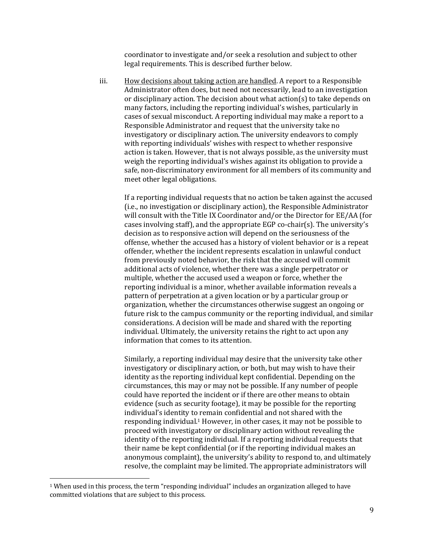coordinator to investigate and/or seek a resolution and subject to other legal requirements. This is described further below.

iii. How decisions about taking action are handled. A report to a Responsible Administrator often does, but need not necessarily, lead to an investigation or disciplinary action. The decision about what  $\arctan(s)$  to take depends on many factors, including the reporting individual's wishes, particularly in cases of sexual misconduct. A reporting individual may make a report to a Responsible Administrator and request that the university take no investigatory or disciplinary action. The university endeavors to comply with reporting individuals' wishes with respect to whether responsive action is taken. However, that is not always possible, as the university must weigh the reporting individual's wishes against its obligation to provide a safe, non-discriminatory environment for all members of its community and meet other legal obligations.

If a reporting individual requests that no action be taken against the accused (i.e., no investigation or disciplinary action), the Responsible Administrator will consult with the Title IX Coordinator and/or the Director for EE/AA (for cases involving staff), and the appropriate EGP co-chair(s). The university's decision as to responsive action will depend on the seriousness of the offense, whether the accused has a history of violent behavior or is a repeat offender, whether the incident represents escalation in unlawful conduct from previously noted behavior, the risk that the accused will commit additional acts of violence, whether there was a single perpetrator or multiple, whether the accused used a weapon or force, whether the reporting individual is a minor, whether available information reveals a pattern of perpetration at a given location or by a particular group or organization, whether the circumstances otherwise suggest an ongoing or future risk to the campus community or the reporting individual, and similar considerations. A decision will be made and shared with the reporting individual. Ultimately, the university retains the right to act upon any information that comes to its attention.

Similarly, a reporting individual may desire that the university take other investigatory or disciplinary action, or both, but may wish to have their identity as the reporting individual kept confidential. Depending on the circumstances, this may or may not be possible. If any number of people could have reported the incident or if there are other means to obtain evidence (such as security footage), it may be possible for the reporting individual's identity to remain confidential and not shared with the responding individual.<sup>1</sup> However, in other cases, it may not be possible to proceed with investigatory or disciplinary action without revealing the identity of the reporting individual. If a reporting individual requests that their name be kept confidential (or if the reporting individual makes an anonymous complaint), the university's ability to respond to, and ultimately resolve, the complaint may be limited. The appropriate administrators will

 $1$  When used in this process, the term "responding individual" includes an organization alleged to have committed violations that are subject to this process.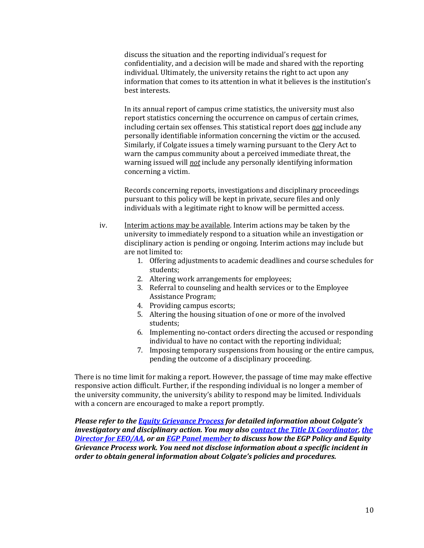discuss the situation and the reporting individual's request for confidentiality, and a decision will be made and shared with the reporting individual. Ultimately, the university retains the right to act upon any information that comes to its attention in what it believes is the institution's best interests.

In its annual report of campus crime statistics, the university must also report statistics concerning the occurrence on campus of certain crimes, including certain sex offenses. This statistical report does *not* include any personally identifiable information concerning the victim or the accused. Similarly, if Colgate issues a timely warning pursuant to the Clery Act to warn the campus community about a perceived immediate threat, the warning issued will *not* include any personally identifying information concerning a victim.

Records concerning reports, investigations and disciplinary proceedings pursuant to this policy will be kept in private, secure files and only individuals with a legitimate right to know will be permitted access.

- iv. **Interim** actions may be available. Interim actions may be taken by the university to immediately respond to a situation while an investigation or disciplinary action is pending or ongoing. Interim actions may include but are not limited to:
	- 1. Offering adjustments to academic deadlines and course schedules for students;
	- 2. Altering work arrangements for employees;
	- 3. Referral to counseling and health services or to the Employee Assistance Program;
	- 4. Providing campus escorts;
	- 5. Altering the housing situation of one or more of the involved students;
	- 6. Implementing no-contact orders directing the accused or responding individual to have no contact with the reporting individual;
	- 7. Imposing temporary suspensions from housing or the entire campus, pending the outcome of a disciplinary proceeding.

There is no time limit for making a report. However, the passage of time may make effective responsive action difficult. Further, if the responding individual is no longer a member of the university community, the university's ability to respond may be limited. Individuals with a concern are encouraged to make a report promptly.

*Please refer to the Equity Grievance Process for detailed information about Colgate's investigatory and disciplinary action. You may also contact the Title IX Coordinator, the* **Director for EEO/AA, or an EGP Panel member** to discuss how the EGP Policy and Equity Grievance Process work. You need not disclose information about a specific incident in *order to obtain general information about Colgate's policies and procedures.*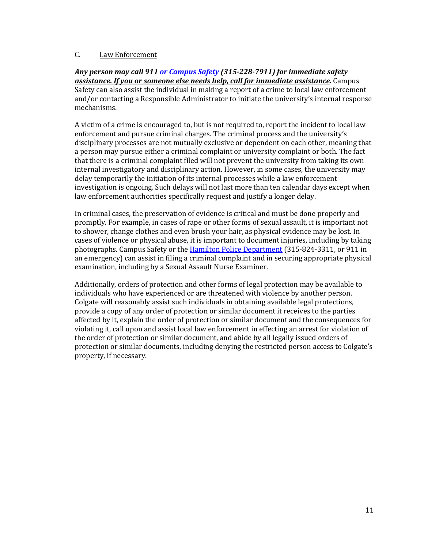## C. Law Enforcement

### *Any person may call 911 or Campus Safety (315-228-7911) for immediate safety* **assistance. If you or someone else needs help, call for immediate assistance.** Campus Safety can also assist the individual in making a report of a crime to local law enforcement and/or contacting a Responsible Administrator to initiate the university's internal response mechanisms.

A victim of a crime is encouraged to, but is not required to, report the incident to local law enforcement and pursue criminal charges. The criminal process and the university's disciplinary processes are not mutually exclusive or dependent on each other, meaning that a person may pursue either a criminal complaint or university complaint or both. The fact that there is a criminal complaint filed will not prevent the university from taking its own internal investigatory and disciplinary action. However, in some cases, the university may delay temporarily the initiation of its internal processes while a law enforcement investigation is ongoing. Such delays will not last more than ten calendar days except when law enforcement authorities specifically request and justify a longer delay.

In criminal cases, the preservation of evidence is critical and must be done properly and promptly. For example, in cases of rape or other forms of sexual assault, it is important not to shower, change clothes and even brush your hair, as physical evidence may be lost. In cases of violence or physical abuse, it is important to document injuries, including by taking photographs. Campus Safety or the Hamilton Police Department (315-824-3311, or 911 in an emergency) can assist in filing a criminal complaint and in securing appropriate physical examination, including by a Sexual Assault Nurse Examiner.

Additionally, orders of protection and other forms of legal protection may be available to individuals who have experienced or are threatened with violence by another person. Colgate will reasonably assist such individuals in obtaining available legal protections, provide a copy of any order of protection or similar document it receives to the parties affected by it, explain the order of protection or similar document and the consequences for violating it, call upon and assist local law enforcement in effecting an arrest for violation of the order of protection or similar document, and abide by all legally issued orders of protection or similar documents, including denying the restricted person access to Colgate's property, if necessary.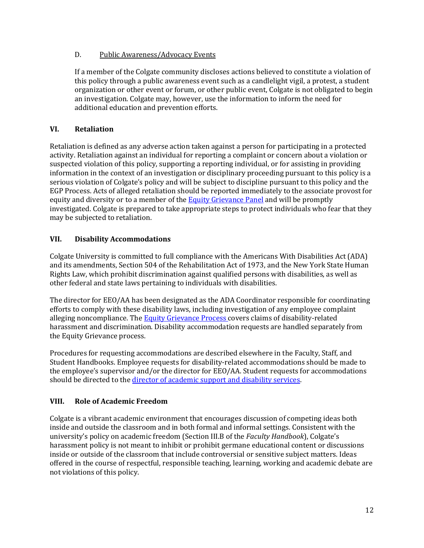## D. Public Awareness/Advocacy Events

If a member of the Colgate community discloses actions believed to constitute a violation of this policy through a public awareness event such as a candlelight vigil, a protest, a student organization or other event or forum, or other public event, Colgate is not obligated to begin an investigation. Colgate may, however, use the information to inform the need for additional education and prevention efforts.

## **VI. Retaliation**

Retaliation is defined as any adverse action taken against a person for participating in a protected activity. Retaliation against an individual for reporting a complaint or concern about a violation or suspected violation of this policy, supporting a reporting individual, or for assisting in providing information in the context of an investigation or disciplinary proceeding pursuant to this policy is a serious violation of Colgate's policy and will be subject to discipline pursuant to this policy and the EGP Process. Acts of alleged retaliation should be reported immediately to the associate provost for equity and diversity or to a member of the **Equity Grievance Panel** and will be promptly investigated. Colgate is prepared to take appropriate steps to protect individuals who fear that they may be subjected to retaliation.

## **VII. Disability Accommodations**

Colgate University is committed to full compliance with the Americans With Disabilities Act (ADA) and its amendments, Section 504 of the Rehabilitation Act of 1973, and the New York State Human Rights Law, which prohibit discrimination against qualified persons with disabilities, as well as other federal and state laws pertaining to individuals with disabilities.

The director for EEO/AA has been designated as the ADA Coordinator responsible for coordinating efforts to comply with these disability laws, including investigation of any employee complaint alleging noncompliance. The Equity Grievance Process covers claims of disability-related harassment and discrimination. Disability accommodation requests are handled separately from the Equity Grievance process.

Procedures for requesting accommodations are described elsewhere in the Faculty, Staff, and Student Handbooks. Employee requests for disability-related accommodations should be made to the employee's supervisor and/or the director for EEO/AA. Student requests for accommodations should be directed to the director of academic support and disability services.

# **VIII. Role of Academic Freedom**

Colgate is a vibrant academic environment that encourages discussion of competing ideas both inside and outside the classroom and in both formal and informal settings. Consistent with the university's policy on academic freedom (Section III.B of the *Faculty Handbook*), Colgate's harassment policy is not meant to inhibit or prohibit germane educational content or discussions inside or outside of the classroom that include controversial or sensitive subject matters. Ideas offered in the course of respectful, responsible teaching, learning, working and academic debate are not violations of this policy.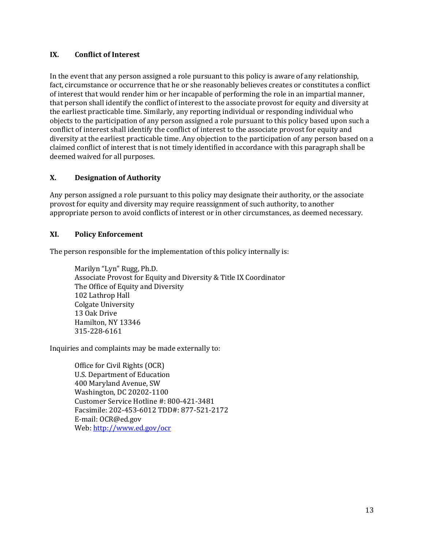## **IX. Conflict of Interest**

In the event that any person assigned a role pursuant to this policy is aware of any relationship, fact, circumstance or occurrence that he or she reasonably believes creates or constitutes a conflict of interest that would render him or her incapable of performing the role in an impartial manner, that person shall identify the conflict of interest to the associate provost for equity and diversity at the earliest practicable time. Similarly, any reporting individual or responding individual who objects to the participation of any person assigned a role pursuant to this policy based upon such a conflict of interest shall identify the conflict of interest to the associate provost for equity and diversity at the earliest practicable time. Any objection to the participation of any person based on a claimed conflict of interest that is not timely identified in accordance with this paragraph shall be deemed waived for all purposes.

#### **X. Designation of Authority**

Any person assigned a role pursuant to this policy may designate their authority, or the associate provost for equity and diversity may require reassignment of such authority, to another appropriate person to avoid conflicts of interest or in other circumstances, as deemed necessary.

#### **XI. Policy Enforcement**

The person responsible for the implementation of this policy internally is:

Marilyn "Lyn" Rugg, Ph.D. Associate Provost for Equity and Diversity & Title IX Coordinator The Office of Equity and Diversity 102 Lathrop Hall **Colgate University** 13 Oak Drive Hamilton, NY 13346 315-228-6161

Inquiries and complaints may be made externally to:

Office for Civil Rights (OCR) U.S. Department of Education 400 Maryland Avenue, SW Washington, DC 20202-1100 Customer Service Hotline #: 800-421-3481 Facsimile: 202-453-6012 TDD#: 877-521-2172 E-mail: OCR@ed.gov Web: http://www.ed.gov/ocr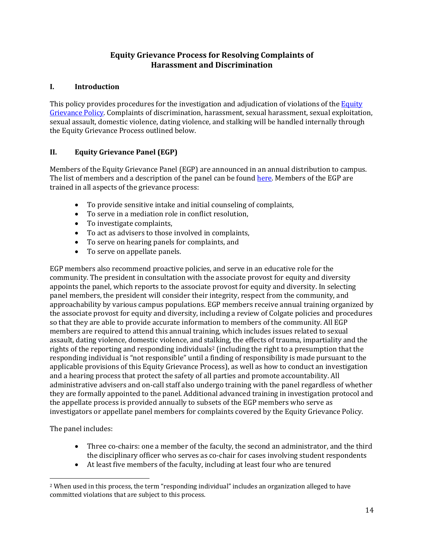# **Equity Grievance Process for Resolving Complaints of Harassment and Discrimination**

## **I. Introduction**

This policy provides procedures for the investigation and adjudication of violations of the Equity Grievance Policy. Complaints of discrimination, harassment, sexual harassment, sexual exploitation, sexual assault, domestic violence, dating violence, and stalking will be handled internally through the Equity Grievance Process outlined below.

# **II. Equity Grievance Panel (EGP)**

Members of the Equity Grievance Panel (EGP) are announced in an annual distribution to campus. The list of members and a description of the panel can be found here. Members of the EGP are trained in all aspects of the grievance process:

- To provide sensitive intake and initial counseling of complaints,
- To serve in a mediation role in conflict resolution,
- To investigate complaints,
- To act as advisers to those involved in complaints,
- To serve on hearing panels for complaints, and
- To serve on appellate panels.

EGP members also recommend proactive policies, and serve in an educative role for the community. The president in consultation with the associate provost for equity and diversity appoints the panel, which reports to the associate provost for equity and diversity. In selecting panel members, the president will consider their integrity, respect from the community, and approachability by various campus populations. EGP members receive annual training organized by the associate provost for equity and diversity, including a review of Colgate policies and procedures so that they are able to provide accurate information to members of the community. All EGP members are required to attend this annual training, which includes issues related to sexual assault, dating violence, domestic violence, and stalking, the effects of trauma, impartiality and the rights of the reporting and responding individuals<sup>2</sup> (including the right to a presumption that the responding individual is "not responsible" until a finding of responsibility is made pursuant to the applicable provisions of this Equity Grievance Process), as well as how to conduct an investigation and a hearing process that protect the safety of all parties and promote accountability. All administrative advisers and on-call staff also undergo training with the panel regardless of whether they are formally appointed to the panel. Additional advanced training in investigation protocol and the appellate process is provided annually to subsets of the EGP members who serve as investigators or appellate panel members for complaints covered by the Equity Grievance Policy.

The panel includes:

- Three co-chairs: one a member of the faculty, the second an administrator, and the third the disciplinary officer who serves as co-chair for cases involving student respondents
- At least five members of the faculty, including at least four who are tenured

<sup>&</sup>lt;sup>2</sup> When used in this process, the term "responding individual" includes an organization alleged to have committed violations that are subject to this process.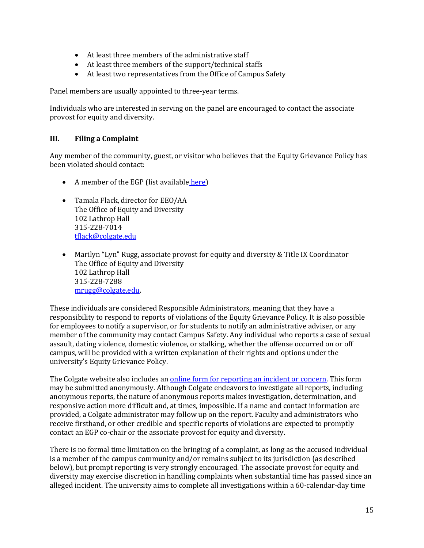- At least three members of the administrative staff
- At least three members of the support/technical staffs
- At least two representatives from the Office of Campus Safety

Panel members are usually appointed to three-year terms.

Individuals who are interested in serving on the panel are encouraged to contact the associate provost for equity and diversity.

## **III.** Filing a Complaint

Any member of the community, guest, or visitor who believes that the Equity Grievance Policy has been violated should contact:

- A member of the EGP (list available here)
- Tamala Flack, director for EEO/AA The Office of Equity and Diversity 102 Lathrop Hall 315-228-7014 tflack@colgate.edu
- Marilyn "Lyn" Rugg, associate provost for equity and diversity & Title IX Coordinator The Office of Equity and Diversity 102 Lathrop Hall 315-228-7288 mrugg@colgate.edu.

These individuals are considered Responsible Administrators, meaning that they have a responsibility to respond to reports of violations of the Equity Grievance Policy. It is also possible for employees to notify a supervisor, or for students to notify an administrative adviser, or any member of the community may contact Campus Safety. Any individual who reports a case of sexual assault, dating violence, domestic violence, or stalking, whether the offense occurred on or off campus, will be provided with a written explanation of their rights and options under the university's Equity Grievance Policy.

The Colgate website also includes an online form for reporting an incident or concern. This form may be submitted anonymously. Although Colgate endeavors to investigate all reports, including anonymous reports, the nature of anonymous reports makes investigation, determination, and responsive action more difficult and, at times, impossible. If a name and contact information are provided, a Colgate administrator may follow up on the report. Faculty and administrators who receive firsthand, or other credible and specific reports of violations are expected to promptly contact an EGP co-chair or the associate provost for equity and diversity.

There is no formal time limitation on the bringing of a complaint, as long as the accused individual is a member of the campus community and/or remains subject to its jurisdiction (as described below), but prompt reporting is very strongly encouraged. The associate provost for equity and diversity may exercise discretion in handling complaints when substantial time has passed since an alleged incident. The university aims to complete all investigations within a 60-calendar-day time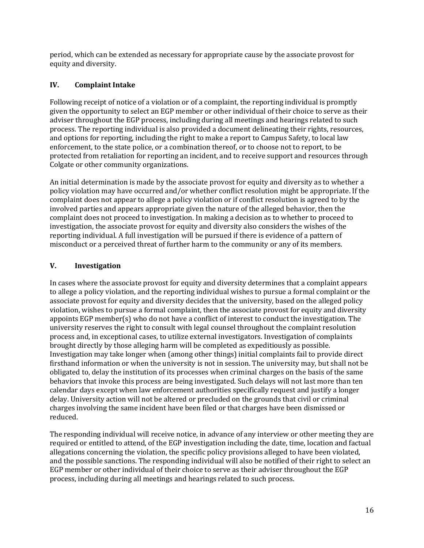period, which can be extended as necessary for appropriate cause by the associate provost for equity and diversity.

## **IV. Complaint Intake**

Following receipt of notice of a violation or of a complaint, the reporting individual is promptly given the opportunity to select an EGP member or other individual of their choice to serve as their adviser throughout the EGP process, including during all meetings and hearings related to such process. The reporting individual is also provided a document delineating their rights, resources, and options for reporting, including the right to make a report to Campus Safety, to local law enforcement, to the state police, or a combination thereof, or to choose not to report, to be protected from retaliation for reporting an incident, and to receive support and resources through Colgate or other community organizations.

An initial determination is made by the associate provost for equity and diversity as to whether a policy violation may have occurred and/or whether conflict resolution might be appropriate. If the complaint does not appear to allege a policy violation or if conflict resolution is agreed to by the involved parties and appears appropriate given the nature of the alleged behavior, then the complaint does not proceed to investigation. In making a decision as to whether to proceed to investigation, the associate provost for equity and diversity also considers the wishes of the reporting individual. A full investigation will be pursued if there is evidence of a pattern of misconduct or a perceived threat of further harm to the community or any of its members.

## **V. Investigation**

In cases where the associate provost for equity and diversity determines that a complaint appears to allege a policy violation, and the reporting individual wishes to pursue a formal complaint or the associate provost for equity and diversity decides that the university, based on the alleged policy violation, wishes to pursue a formal complaint, then the associate provost for equity and diversity appoints  $EGP$  member(s) who do not have a conflict of interest to conduct the investigation. The university reserves the right to consult with legal counsel throughout the complaint resolution process and, in exceptional cases, to utilize external investigators. Investigation of complaints brought directly by those alleging harm will be completed as expeditiously as possible. Investigation may take longer when (among other things) initial complaints fail to provide direct firsthand information or when the university is not in session. The university may, but shall not be obligated to, delay the institution of its processes when criminal charges on the basis of the same behaviors that invoke this process are being investigated. Such delays will not last more than ten calendar days except when law enforcement authorities specifically request and justify a longer delay. University action will not be altered or precluded on the grounds that civil or criminal charges involving the same incident have been filed or that charges have been dismissed or reduced.

The responding individual will receive notice, in advance of any interview or other meeting they are required or entitled to attend, of the EGP investigation including the date, time, location and factual allegations concerning the violation, the specific policy provisions alleged to have been violated, and the possible sanctions. The responding individual will also be notified of their right to select an EGP member or other individual of their choice to serve as their adviser throughout the EGP process, including during all meetings and hearings related to such process.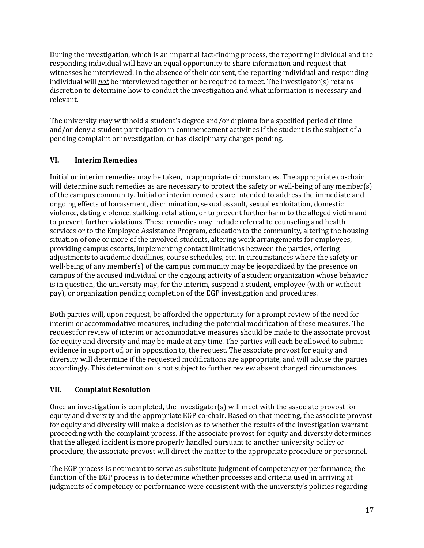During the investigation, which is an impartial fact-finding process, the reporting individual and the responding individual will have an equal opportunity to share information and request that witnesses be interviewed. In the absence of their consent, the reporting individual and responding individual will *not* be interviewed together or be required to meet. The investigator(s) retains discretion to determine how to conduct the investigation and what information is necessary and relevant.

The university may withhold a student's degree and/or diploma for a specified period of time and/or deny a student participation in commencement activities if the student is the subject of a pending complaint or investigation, or has disciplinary charges pending.

# **VI. Interim Remedies**

Initial or interim remedies may be taken, in appropriate circumstances. The appropriate co-chair will determine such remedies as are necessary to protect the safety or well-being of any member(s) of the campus community. Initial or interim remedies are intended to address the immediate and ongoing effects of harassment, discrimination, sexual assault, sexual exploitation, domestic violence, dating violence, stalking, retaliation, or to prevent further harm to the alleged victim and to prevent further violations. These remedies may include referral to counseling and health services or to the Employee Assistance Program, education to the community, altering the housing situation of one or more of the involved students, altering work arrangements for employees, providing campus escorts, implementing contact limitations between the parties, offering adjustments to academic deadlines, course schedules, etc. In circumstances where the safety or well-being of any member(s) of the campus community may be jeopardized by the presence on campus of the accused individual or the ongoing activity of a student organization whose behavior is in question, the university may, for the interim, suspend a student, employee (with or without pay), or organization pending completion of the EGP investigation and procedures.

Both parties will, upon request, be afforded the opportunity for a prompt review of the need for interim or accommodative measures, including the potential modification of these measures. The request for review of interim or accommodative measures should be made to the associate provost for equity and diversity and may be made at any time. The parties will each be allowed to submit evidence in support of, or in opposition to, the request. The associate provost for equity and diversity will determine if the requested modifications are appropriate, and will advise the parties accordingly. This determination is not subject to further review absent changed circumstances.

# **VII. Complaint Resolution**

Once an investigation is completed, the investigator(s) will meet with the associate provost for equity and diversity and the appropriate EGP co-chair. Based on that meeting, the associate provost for equity and diversity will make a decision as to whether the results of the investigation warrant proceeding with the complaint process. If the associate provost for equity and diversity determines that the alleged incident is more properly handled pursuant to another university policy or procedure, the associate provost will direct the matter to the appropriate procedure or personnel.

The EGP process is not meant to serve as substitute judgment of competency or performance; the function of the EGP process is to determine whether processes and criteria used in arriving at judgments of competency or performance were consistent with the university's policies regarding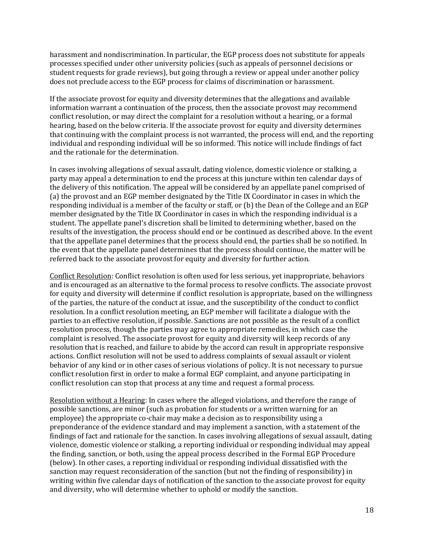harassment and nondiscrimination. In particular, the EGP process does not substitute for appeals processes specified under other university policies (such as appeals of personnel decisions or student requests for grade reviews), but going through a review or appeal under another policy does not preclude access to the EGP process for claims of discrimination or harassment.

If the associate provost for equity and diversity determines that the allegations and available information warrant a continuation of the process, then the associate provost may recommend conflict resolution, or may direct the complaint for a resolution without a hearing, or a formal hearing, based on the below criteria. If the associate provost for equity and diversity determines that continuing with the complaint process is not warranted, the process will end, and the reporting individual and responding individual will be so informed. This notice will include findings of fact and the rationale for the determination.

In cases involving allegations of sexual assault, dating violence, domestic violence or stalking, a party may appeal a determination to end the process at this juncture within ten calendar days of the delivery of this notification. The appeal will be considered by an appellate panel comprised of (a) the provost and an EGP member designated by the Title IX Coordinator in cases in which the responding individual is a member of the faculty or staff, or (b) the Dean of the College and an EGP member designated by the Title IX Coordinator in cases in which the responding individual is a student. The appellate panel's discretion shall be limited to determining whether, based on the results of the investigation, the process should end or be continued as described above. In the event that the appellate panel determines that the process should end, the parties shall be so notified. In the event that the appellate panel determines that the process should continue, the matter will be referred back to the associate provost for equity and diversity for further action.

Conflict Resolution: Conflict resolution is often used for less serious, yet inappropriate, behaviors and is encouraged as an alternative to the formal process to resolve conflicts. The associate provost for equity and diversity will determine if conflict resolution is appropriate, based on the willingness of the parties, the nature of the conduct at issue, and the susceptibility of the conduct to conflict resolution. In a conflict resolution meeting, an EGP member will facilitate a dialogue with the parties to an effective resolution, if possible. Sanctions are not possible as the result of a conflict resolution process, though the parties may agree to appropriate remedies, in which case the complaint is resolved. The associate provost for equity and diversity will keep records of any resolution that is reached, and failure to abide by the accord can result in appropriate responsive actions. Conflict resolution will not be used to address complaints of sexual assault or violent behavior of any kind or in other cases of serious violations of policy. It is not necessary to pursue conflict resolution first in order to make a formal EGP complaint, and anyone participating in conflict resolution can stop that process at any time and request a formal process.

Resolution without a Hearing: In cases where the alleged violations, and therefore the range of possible sanctions, are minor (such as probation for students or a written warning for an employee) the appropriate co-chair may make a decision as to responsibility using a preponderance of the evidence standard and may implement a sanction, with a statement of the findings of fact and rationale for the sanction. In cases involving allegations of sexual assault, dating violence, domestic violence or stalking, a reporting individual or responding individual may appeal the finding, sanction, or both, using the appeal process described in the Formal EGP Procedure (below). In other cases, a reporting individual or responding individual dissatisfied with the sanction may request reconsideration of the sanction (but not the finding of responsibility) in writing within five calendar days of notification of the sanction to the associate provost for equity and diversity, who will determine whether to uphold or modify the sanction.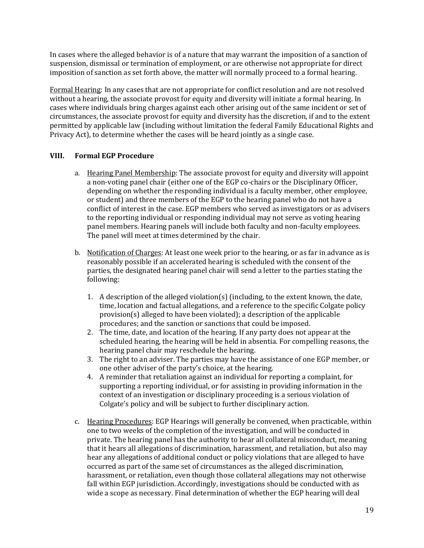In cases where the alleged behavior is of a nature that may warrant the imposition of a sanction of suspension, dismissal or termination of employment, or are otherwise not appropriate for direct imposition of sanction as set forth above, the matter will normally proceed to a formal hearing.

Formal Hearing: In any cases that are not appropriate for conflict resolution and are not resolved without a hearing, the associate provost for equity and diversity will initiate a formal hearing. In cases where individuals bring charges against each other arising out of the same incident or set of circumstances, the associate provost for equity and diversity has the discretion, if and to the extent permitted by applicable law (including without limitation the federal Family Educational Rights and Privacy Act), to determine whether the cases will be heard jointly as a single case.

## **VIII. Formal EGP Procedure**

- a. Hearing Panel Membership: The associate provost for equity and diversity will appoint a non-voting panel chair (either one of the EGP co-chairs or the Disciplinary Officer, depending on whether the responding individual is a faculty member, other employee, or student) and three members of the EGP to the hearing panel who do not have a conflict of interest in the case. EGP members who served as investigators or as advisers to the reporting individual or responding individual may not serve as voting hearing panel members. Hearing panels will include both faculty and non-faculty employees. The panel will meet at times determined by the chair.
- b. Notification of Charges: At least one week prior to the hearing, or as far in advance as is reasonably possible if an accelerated hearing is scheduled with the consent of the parties, the designated hearing panel chair will send a letter to the parties stating the following:
	- 1. A description of the alleged violation(s) (including, to the extent known, the date, time, location and factual allegations, and a reference to the specific Colgate policy  $provision(s)$  alleged to have been violated); a description of the applicable procedures; and the sanction or sanctions that could be imposed.
	- 2. The time, date, and location of the hearing. If any party does not appear at the scheduled hearing, the hearing will be held in absentia. For compelling reasons, the hearing panel chair may reschedule the hearing.
	- 3. The right to an adviser. The parties may have the assistance of one EGP member, or one other adviser of the party's choice, at the hearing.
	- 4. A reminder that retaliation against an individual for reporting a complaint, for supporting a reporting individual, or for assisting in providing information in the context of an investigation or disciplinary proceeding is a serious violation of Colgate's policy and will be subject to further disciplinary action.
- c. Hearing Procedures: EGP Hearings will generally be convened, when practicable, within one to two weeks of the completion of the investigation, and will be conducted in private. The hearing panel has the authority to hear all collateral misconduct, meaning that it hears all allegations of discrimination, harassment, and retaliation, but also may hear any allegations of additional conduct or policy violations that are alleged to have occurred as part of the same set of circumstances as the alleged discrimination, harassment, or retaliation, even though those collateral allegations may not otherwise fall within EGP jurisdiction. Accordingly, investigations should be conducted with as wide a scope as necessary. Final determination of whether the EGP hearing will deal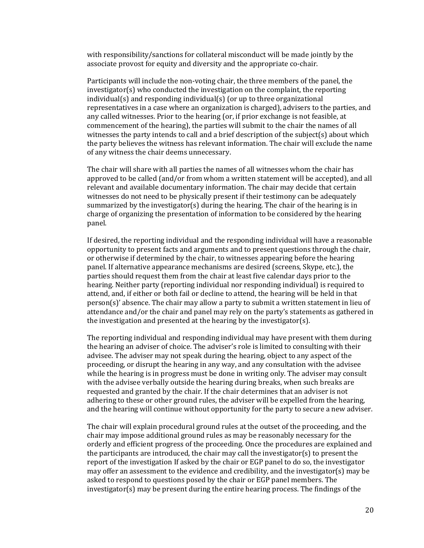with responsibility/sanctions for collateral misconduct will be made jointly by the associate provost for equity and diversity and the appropriate co-chair.

Participants will include the non-voting chair, the three members of the panel, the  $investigator(s)$  who conducted the investigation on the complaint, the reporting  $indivial(s)$  and responding individual(s) (or up to three organizational representatives in a case where an organization is charged), advisers to the parties, and any called witnesses. Prior to the hearing (or, if prior exchange is not feasible, at commencement of the hearing), the parties will submit to the chair the names of all witnesses the party intends to call and a brief description of the subject( $s$ ) about which the party believes the witness has relevant information. The chair will exclude the name of any witness the chair deems unnecessary.

The chair will share with all parties the names of all witnesses whom the chair has approved to be called (and/or from whom a written statement will be accepted), and all relevant and available documentary information. The chair may decide that certain witnesses do not need to be physically present if their testimony can be adequately summarized by the investigator(s) during the hearing. The chair of the hearing is in charge of organizing the presentation of information to be considered by the hearing panel.

If desired, the reporting individual and the responding individual will have a reasonable opportunity to present facts and arguments and to present questions through the chair, or otherwise if determined by the chair, to witnesses appearing before the hearing panel. If alternative appearance mechanisms are desired (screens, Skype, etc.), the parties should request them from the chair at least five calendar days prior to the hearing. Neither party (reporting individual nor responding individual) is required to attend, and, if either or both fail or decline to attend, the hearing will be held in that  $person(s)'$  absence. The chair may allow a party to submit a written statement in lieu of attendance and/or the chair and panel may rely on the party's statements as gathered in the investigation and presented at the hearing by the investigator(s).

The reporting individual and responding individual may have present with them during the hearing an adviser of choice. The adviser's role is limited to consulting with their advisee. The adviser may not speak during the hearing, object to any aspect of the proceeding, or disrupt the hearing in any way, and any consultation with the advisee while the hearing is in progress must be done in writing only. The adviser may consult with the advisee verbally outside the hearing during breaks, when such breaks are requested and granted by the chair. If the chair determines that an adviser is not adhering to these or other ground rules, the adviser will be expelled from the hearing, and the hearing will continue without opportunity for the party to secure a new adviser.

The chair will explain procedural ground rules at the outset of the proceeding, and the chair may impose additional ground rules as may be reasonably necessary for the orderly and efficient progress of the proceeding. Once the procedures are explained and the participants are introduced, the chair may call the investigator(s) to present the report of the investigation If asked by the chair or EGP panel to do so, the investigator may offer an assessment to the evidence and credibility, and the investigator(s) may be asked to respond to questions posed by the chair or EGP panel members. The  $investigator(s)$  may be present during the entire hearing process. The findings of the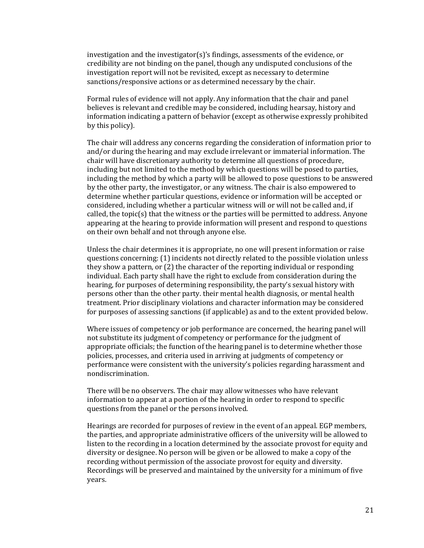investigation and the investigator(s)'s findings, assessments of the evidence, or credibility are not binding on the panel, though any undisputed conclusions of the investigation report will not be revisited, except as necessary to determine sanctions/responsive actions or as determined necessary by the chair.

Formal rules of evidence will not apply. Any information that the chair and panel believes is relevant and credible may be considered, including hearsay, history and information indicating a pattern of behavior (except as otherwise expressly prohibited by this policy).

The chair will address any concerns regarding the consideration of information prior to and/or during the hearing and may exclude irrelevant or immaterial information. The chair will have discretionary authority to determine all questions of procedure, including but not limited to the method by which questions will be posed to parties, including the method by which a party will be allowed to pose questions to be answered by the other party, the investigator, or any witness. The chair is also empowered to determine whether particular questions, evidence or information will be accepted or considered, including whether a particular witness will or will not be called and, if called, the topic(s) that the witness or the parties will be permitted to address. Anyone appearing at the hearing to provide information will present and respond to questions on their own behalf and not through anyone else.

Unless the chair determines it is appropriate, no one will present information or raise questions concerning: (1) incidents not directly related to the possible violation unless they show a pattern, or  $(2)$  the character of the reporting individual or responding individual. Each party shall have the right to exclude from consideration during the hearing, for purposes of determining responsibility, the party's sexual history with persons other than the other party. their mental health diagnosis, or mental health treatment. Prior disciplinary violations and character information may be considered for purposes of assessing sanctions (if applicable) as and to the extent provided below.

Where issues of competency or job performance are concerned, the hearing panel will not substitute its judgment of competency or performance for the judgment of appropriate officials; the function of the hearing panel is to determine whether those policies, processes, and criteria used in arriving at judgments of competency or performance were consistent with the university's policies regarding harassment and nondiscrimination.

There will be no observers. The chair may allow witnesses who have relevant information to appear at a portion of the hearing in order to respond to specific questions from the panel or the persons involved.

Hearings are recorded for purposes of review in the event of an appeal. EGP members, the parties, and appropriate administrative officers of the university will be allowed to listen to the recording in a location determined by the associate provost for equity and diversity or designee. No person will be given or be allowed to make a copy of the recording without permission of the associate provost for equity and diversity. Recordings will be preserved and maintained by the university for a minimum of five years.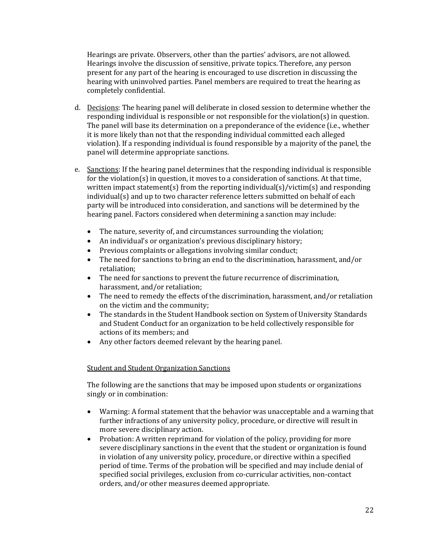Hearings are private. Observers, other than the parties' advisors, are not allowed. Hearings involve the discussion of sensitive, private topics. Therefore, any person present for any part of the hearing is encouraged to use discretion in discussing the hearing with uninvolved parties. Panel members are required to treat the hearing as completely confidential. 

- d. Decisions: The hearing panel will deliberate in closed session to determine whether the responding individual is responsible or not responsible for the violation(s) in question. The panel will base its determination on a preponderance of the evidence (i.e., whether it is more likely than not that the responding individual committed each alleged violation). If a responding individual is found responsible by a majority of the panel, the panel will determine appropriate sanctions.
- e. Sanctions: If the hearing panel determines that the responding individual is responsible for the violation(s) in question, it moves to a consideration of sanctions. At that time, written impact statement(s) from the reporting individual(s)/victim(s) and responding  $indivial(s)$  and up to two character reference letters submitted on behalf of each party will be introduced into consideration, and sanctions will be determined by the hearing panel. Factors considered when determining a sanction may include:
	- The nature, severity of, and circumstances surrounding the violation;
	- An individual's or organization's previous disciplinary history;
	- Previous complaints or allegations involving similar conduct;
	- The need for sanctions to bring an end to the discrimination, harassment, and/or retaliation;
	- The need for sanctions to prevent the future recurrence of discrimination, harassment, and/or retaliation;
	- The need to remedy the effects of the discrimination, harassment, and/or retaliation on the victim and the community;
	- The standards in the Student Handbook section on System of University Standards and Student Conduct for an organization to be held collectively responsible for actions of its members; and
	- Any other factors deemed relevant by the hearing panel.

### **Student and Student Organization Sanctions**

The following are the sanctions that may be imposed upon students or organizations singly or in combination:

- Warning: A formal statement that the behavior was unacceptable and a warning that further infractions of any university policy, procedure, or directive will result in more severe disciplinary action.
- Probation: A written reprimand for violation of the policy, providing for more severe disciplinary sanctions in the event that the student or organization is found in violation of any university policy, procedure, or directive within a specified period of time. Terms of the probation will be specified and may include denial of specified social privileges, exclusion from co-curricular activities, non-contact orders, and/or other measures deemed appropriate.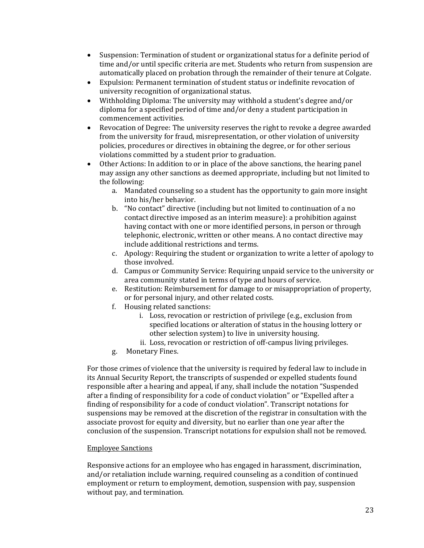- Suspension: Termination of student or organizational status for a definite period of time and/or until specific criteria are met. Students who return from suspension are automatically placed on probation through the remainder of their tenure at Colgate.
- Expulsion: Permanent termination of student status or indefinite revocation of university recognition of organizational status.
- Withholding Diploma: The university may withhold a student's degree and/or diploma for a specified period of time and/or deny a student participation in commencement activities.
- Revocation of Degree: The university reserves the right to revoke a degree awarded from the university for fraud, misrepresentation, or other violation of university policies, procedures or directives in obtaining the degree, or for other serious violations committed by a student prior to graduation.
- Other Actions: In addition to or in place of the above sanctions, the hearing panel may assign any other sanctions as deemed appropriate, including but not limited to the following:
	- a. Mandated counseling so a student has the opportunity to gain more insight into his/her behavior.
	- b. "No contact" directive (including but not limited to continuation of a no contact directive imposed as an interim measure): a prohibition against having contact with one or more identified persons, in person or through telephonic, electronic, written or other means. A no contact directive may include additional restrictions and terms.
	- c. Apology: Requiring the student or organization to write a letter of apology to those involved.
	- d. Campus or Community Service: Requiring unpaid service to the university or area community stated in terms of type and hours of service.
	- e. Restitution: Reimbursement for damage to or misappropriation of property, or for personal injury, and other related costs.
	- f. Housing related sanctions:
		- i. Loss, revocation or restriction of privilege (e.g., exclusion from specified locations or alteration of status in the housing lottery or other selection system) to live in university housing.
		- ii. Loss, revocation or restriction of off-campus living privileges.
	- g. Monetary Fines.

For those crimes of violence that the university is required by federal law to include in its Annual Security Report, the transcripts of suspended or expelled students found responsible after a hearing and appeal, if any, shall include the notation "Suspended after a finding of responsibility for a code of conduct violation" or "Expelled after a finding of responsibility for a code of conduct violation". Transcript notations for suspensions may be removed at the discretion of the registrar in consultation with the associate provost for equity and diversity, but no earlier than one year after the conclusion of the suspension. Transcript notations for expulsion shall not be removed.

#### **Employee Sanctions**

Responsive actions for an employee who has engaged in harassment, discrimination, and/or retaliation include warning, required counseling as a condition of continued employment or return to employment, demotion, suspension with pay, suspension without pay, and termination.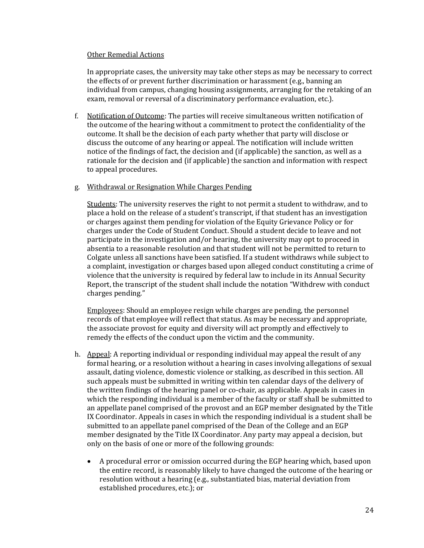#### Other Remedial Actions

In appropriate cases, the university may take other steps as may be necessary to correct the effects of or prevent further discrimination or harassment  $(e.g.,$  banning an individual from campus, changing housing assignments, arranging for the retaking of an exam, removal or reversal of a discriminatory performance evaluation, etc.).

f. Notification of Outcome: The parties will receive simultaneous written notification of the outcome of the hearing without a commitment to protect the confidentiality of the outcome. It shall be the decision of each party whether that party will disclose or discuss the outcome of any hearing or appeal. The notification will include written notice of the findings of fact, the decision and (if applicable) the sanction, as well as a rationale for the decision and (if applicable) the sanction and information with respect to appeal procedures.

#### g. Withdrawal or Resignation While Charges Pending

Students: The university reserves the right to not permit a student to withdraw, and to place a hold on the release of a student's transcript, if that student has an investigation or charges against them pending for violation of the Equity Grievance Policy or for charges under the Code of Student Conduct. Should a student decide to leave and not participate in the investigation and/or hearing, the university may opt to proceed in absentia to a reasonable resolution and that student will not be permitted to return to Colgate unless all sanctions have been satisfied. If a student withdraws while subject to a complaint, investigation or charges based upon alleged conduct constituting a crime of violence that the university is required by federal law to include in its Annual Security Report, the transcript of the student shall include the notation "Withdrew with conduct charges pending."

Employees: Should an employee resign while charges are pending, the personnel records of that employee will reflect that status. As may be necessary and appropriate, the associate provost for equity and diversity will act promptly and effectively to remedy the effects of the conduct upon the victim and the community.

- h. Appeal: A reporting individual or responding individual may appeal the result of any formal hearing, or a resolution without a hearing in cases involving allegations of sexual assault, dating violence, domestic violence or stalking, as described in this section. All such appeals must be submitted in writing within ten calendar days of the delivery of the written findings of the hearing panel or co-chair, as applicable. Appeals in cases in which the responding individual is a member of the faculty or staff shall be submitted to an appellate panel comprised of the provost and an EGP member designated by the Title IX Coordinator. Appeals in cases in which the responding individual is a student shall be submitted to an appellate panel comprised of the Dean of the College and an EGP member designated by the Title IX Coordinator. Any party may appeal a decision, but only on the basis of one or more of the following grounds:
	- A procedural error or omission occurred during the EGP hearing which, based upon the entire record, is reasonably likely to have changed the outcome of the hearing or resolution without a hearing (e.g., substantiated bias, material deviation from established procedures, etc.); or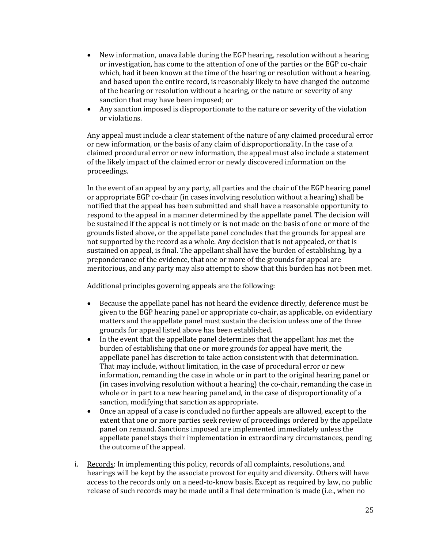- New information, unavailable during the EGP hearing, resolution without a hearing or investigation, has come to the attention of one of the parties or the EGP co-chair which, had it been known at the time of the hearing or resolution without a hearing, and based upon the entire record, is reasonably likely to have changed the outcome of the hearing or resolution without a hearing, or the nature or severity of any sanction that may have been imposed; or
- Any sanction imposed is disproportionate to the nature or severity of the violation or violations.

Any appeal must include a clear statement of the nature of any claimed procedural error or new information, or the basis of any claim of disproportionality. In the case of a claimed procedural error or new information, the appeal must also include a statement of the likely impact of the claimed error or newly discovered information on the proceedings.

In the event of an appeal by any party, all parties and the chair of the EGP hearing panel or appropriate EGP co-chair (in cases involving resolution without a hearing) shall be notified that the appeal has been submitted and shall have a reasonable opportunity to respond to the appeal in a manner determined by the appellate panel. The decision will be sustained if the appeal is not timely or is not made on the basis of one or more of the grounds listed above, or the appellate panel concludes that the grounds for appeal are not supported by the record as a whole. Any decision that is not appealed, or that is sustained on appeal, is final. The appellant shall have the burden of establishing, by a preponderance of the evidence, that one or more of the grounds for appeal are meritorious, and any party may also attempt to show that this burden has not been met.

Additional principles governing appeals are the following:

- Because the appellate panel has not heard the evidence directly, deference must be given to the EGP hearing panel or appropriate co-chair, as applicable, on evidentiary matters and the appellate panel must sustain the decision unless one of the three grounds for appeal listed above has been established.
- In the event that the appellate panel determines that the appellant has met the burden of establishing that one or more grounds for appeal have merit, the appellate panel has discretion to take action consistent with that determination. That may include, without limitation, in the case of procedural error or new information, remanding the case in whole or in part to the original hearing panel or (in cases involving resolution without a hearing) the co-chair, remanding the case in whole or in part to a new hearing panel and, in the case of disproportionality of a sanction, modifying that sanction as appropriate.
- Once an appeal of a case is concluded no further appeals are allowed, except to the extent that one or more parties seek review of proceedings ordered by the appellate panel on remand. Sanctions imposed are implemented immediately unless the appellate panel stays their implementation in extraordinary circumstances, pending the outcome of the appeal.
- i. Records: In implementing this policy, records of all complaints, resolutions, and hearings will be kept by the associate provost for equity and diversity. Others will have access to the records only on a need-to-know basis. Except as required by law, no public release of such records may be made until a final determination is made (i.e., when no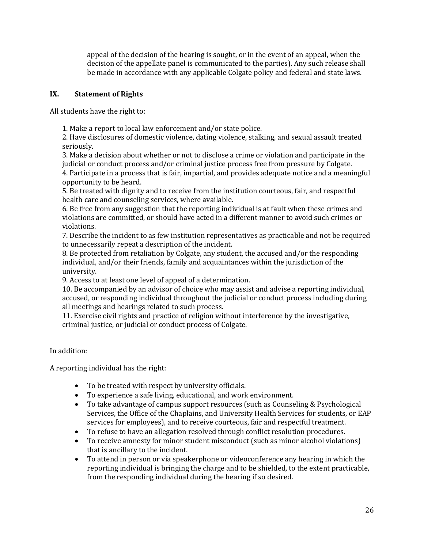appeal of the decision of the hearing is sought, or in the event of an appeal, when the decision of the appellate panel is communicated to the parties). Any such release shall be made in accordance with any applicable Colgate policy and federal and state laws.

## **IX. Statement of Rights**

All students have the right to:

1. Make a report to local law enforcement and/or state police.

2. Have disclosures of domestic violence, dating violence, stalking, and sexual assault treated seriously.

3. Make a decision about whether or not to disclose a crime or violation and participate in the judicial or conduct process and/or criminal justice process free from pressure by Colgate.

4. Participate in a process that is fair, impartial, and provides adequate notice and a meaningful opportunity to be heard.

5. Be treated with dignity and to receive from the institution courteous, fair, and respectful health care and counseling services, where available.

6. Be free from any suggestion that the reporting individual is at fault when these crimes and violations are committed, or should have acted in a different manner to avoid such crimes or violations.

7. Describe the incident to as few institution representatives as practicable and not be required to unnecessarily repeat a description of the incident.

8. Be protected from retaliation by Colgate, any student, the accused and/or the responding individual, and/or their friends, family and acquaintances within the jurisdiction of the university.

9. Access to at least one level of appeal of a determination.

10. Be accompanied by an advisor of choice who may assist and advise a reporting individual, accused, or responding individual throughout the judicial or conduct process including during all meetings and hearings related to such process.

11. Exercise civil rights and practice of religion without interference by the investigative, criminal justice, or judicial or conduct process of Colgate.

In addition:

A reporting individual has the right:

- To be treated with respect by university officials.
- To experience a safe living, educational, and work environment.
- To take advantage of campus support resources (such as Counseling & Psychological Services, the Office of the Chaplains, and University Health Services for students, or EAP services for employees), and to receive courteous, fair and respectful treatment.
- To refuse to have an allegation resolved through conflict resolution procedures.
- To receive amnesty for minor student misconduct (such as minor alcohol violations) that is ancillary to the incident.
- To attend in person or via speakerphone or videoconference any hearing in which the reporting individual is bringing the charge and to be shielded, to the extent practicable, from the responding individual during the hearing if so desired.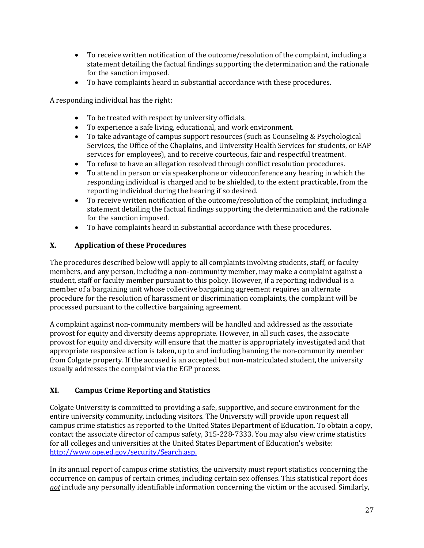- To receive written notification of the outcome/resolution of the complaint, including a statement detailing the factual findings supporting the determination and the rationale for the sanction imposed.
- To have complaints heard in substantial accordance with these procedures.

A responding individual has the right:

- To be treated with respect by university officials.
- To experience a safe living, educational, and work environment.
- To take advantage of campus support resources (such as Counseling & Psychological Services, the Office of the Chaplains, and University Health Services for students, or EAP services for employees), and to receive courteous, fair and respectful treatment.
- To refuse to have an allegation resolved through conflict resolution procedures.
- To attend in person or via speakerphone or videoconference any hearing in which the responding individual is charged and to be shielded, to the extent practicable, from the reporting individual during the hearing if so desired.
- To receive written notification of the outcome/resolution of the complaint, including a statement detailing the factual findings supporting the determination and the rationale for the sanction imposed.
- To have complaints heard in substantial accordance with these procedures.

## **X. Application of these Procedures**

The procedures described below will apply to all complaints involving students, staff, or faculty members, and any person, including a non-community member, may make a complaint against a student, staff or faculty member pursuant to this policy. However, if a reporting individual is a member of a bargaining unit whose collective bargaining agreement requires an alternate procedure for the resolution of harassment or discrimination complaints, the complaint will be processed pursuant to the collective bargaining agreement.

A complaint against non-community members will be handled and addressed as the associate provost for equity and diversity deems appropriate. However, in all such cases, the associate provost for equity and diversity will ensure that the matter is appropriately investigated and that appropriate responsive action is taken, up to and including banning the non-community member from Colgate property. If the accused is an accepted but non-matriculated student, the university usually addresses the complaint via the EGP process.

## **XI. Campus Crime Reporting and Statistics**

Colgate University is committed to providing a safe, supportive, and secure environment for the entire university community, including visitors. The University will provide upon request all campus crime statistics as reported to the United States Department of Education. To obtain a copy, contact the associate director of campus safety, 315-228-7333. You may also view crime statistics for all colleges and universities at the United States Department of Education's website: http://www.ope.ed.gov/security/Search.asp.

In its annual report of campus crime statistics, the university must report statistics concerning the occurrence on campus of certain crimes, including certain sex offenses. This statistical report does not include any personally identifiable information concerning the victim or the accused. Similarly,